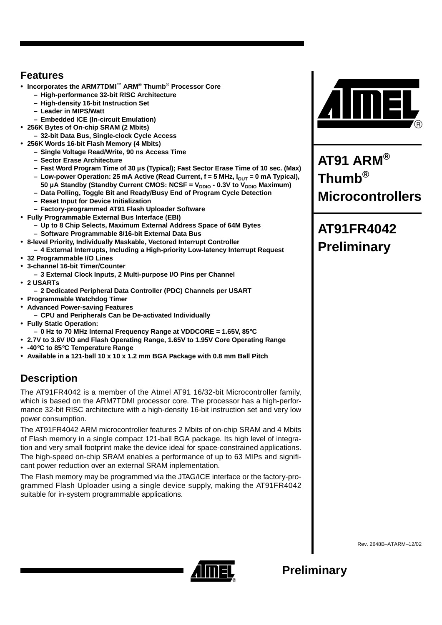### **Features**

- **Incorporates the ARM7TDMI™ ARM® Thumb® Processor Core**
	- **High-performance 32-bit RISC Architecture**
	- **High-density 16-bit Instruction Set**
	- **Leader in MIPS/Watt**
	- **Embedded ICE (In-circuit Emulation)**
- **256K Bytes of On-chip SRAM (2 Mbits)**
	- **32-bit Data Bus, Single-clock Cycle Access**
- **256K Words 16-bit Flash Memory (4 Mbits)**
	- **Single Voltage Read/Write, 90 ns Access Time**
	- **Sector Erase Architecture**
	- **Fast Word Program Time of 30 µs (Typical); Fast Sector Erase Time of 10 sec. (Max)**
	- $-$  Low-power Operation: 25 mA Active (Read Current,  $f = 5$  MHz,  $I_{\text{OUT}} = 0$  mA Typical),
	- 50 µA Standby (Standby Current CMOS: NCSF = V<sub>DDIO</sub> 0.3V to V<sub>DDIO</sub> Maximum) **– Data Polling, Toggle Bit and Ready/Busy End of Program Cycle Detection**
	- **Reset Input for Device Initialization**
	- **Factory-programmed AT91 Flash Uploader Software**
- **Fully Programmable External Bus Interface (EBI)**
	- **Up to 8 Chip Selects, Maximum External Address Space of 64M Bytes**
	- **Software Programmable 8/16-bit External Data Bus**
- **8-level Priority, Individually Maskable, Vectored Interrupt Controller**
- **4 External Interrupts, Including a High-priority Low-latency Interrupt Request**
- **32 Programmable I/O Lines**
- **3-channel 16-bit Timer/Counter**
- **3 External Clock Inputs, 2 Multi-purpose I/O Pins per Channel**
- **2 USARTs**
	- **2 Dedicated Peripheral Data Controller (PDC) Channels per USART**
- **Programmable Watchdog Timer**
- **Advanced Power-saving Features**
- **CPU and Peripherals Can be De-activated Individually**
- **Fully Static Operation:**
	- **0 Hz to 70 MHz Internal Frequency Range at VDDCORE = 1.65V, 85**°**C**
- **2.7V to 3.6V I/O and Flash Operating Range, 1.65V to 1.95V Core Operating Range**
- **-40**°**C to 85**°**C Temperature Range**
- **Available in a 121-ball 10 x 10 x 1.2 mm BGA Package with 0.8 mm Ball Pitch**

# **Description**

The AT91FR4042 is a member of the Atmel AT91 16/32-bit Microcontroller family, which is based on the ARM7TDMI processor core. The processor has a high-performance 32-bit RISC architecture with a high-density 16-bit instruction set and very low power consumption.

The AT91FR4042 ARM microcontroller features 2 Mbits of on-chip SRAM and 4 Mbits of Flash memory in a single compact 121-ball BGA package. Its high level of integration and very small footprint make the device ideal for space-constrained applications. The high-speed on-chip SRAM enables a performance of up to 63 MIPs and significant power reduction over an external SRAM inplementation.

The Flash memory may be programmed via the JTAG/ICE interface or the factory-programmed Flash Uploader using a single device supply, making the AT91FR4042 suitable for in-system programmable applications.



**AT91 ARM® Thumb® Microcontrollers**

# **AT91FR4042 Preliminary**



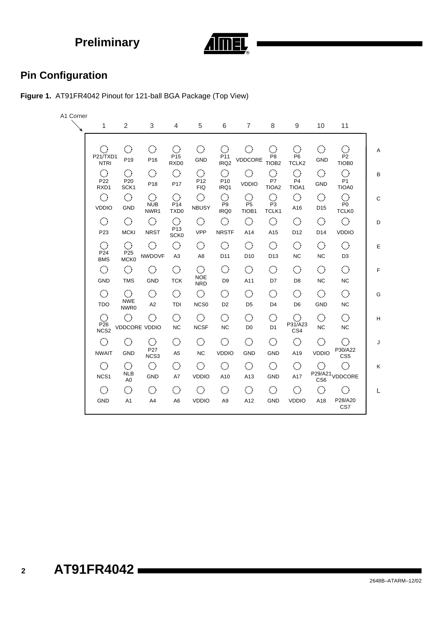

# **Pin Configuration**

**Figure 1.** AT91FR4042 Pinout for 121-ball BGA Package (Top View)

| A1 Corner |                                                          |                                                               |                                                        |                                                                    |                                                         |                                                          |                                                |                                                          |                                               |                                                |                                                                    |
|-----------|----------------------------------------------------------|---------------------------------------------------------------|--------------------------------------------------------|--------------------------------------------------------------------|---------------------------------------------------------|----------------------------------------------------------|------------------------------------------------|----------------------------------------------------------|-----------------------------------------------|------------------------------------------------|--------------------------------------------------------------------|
|           | 1                                                        | $\overline{2}$                                                | 3                                                      | $\overline{4}$                                                     | 5                                                       | 6                                                        | $\overline{7}$                                 | 8                                                        | 9                                             | 10                                             | 11                                                                 |
|           | $\mathcal{L}_{\mathcal{A}}$<br>P21/TXD1<br><b>NTRI</b>   | $\langle \rangle$<br>P <sub>19</sub>                          | $\langle \rangle$<br>P <sub>16</sub>                   | $\mathcal{L}_{\mathcal{A}}$<br>P <sub>15</sub><br>RXD <sub>0</sub> | $\mathcal{C}_{\mathcal{A}}$<br><b>GND</b>               | $\langle \rangle$<br>P <sub>11</sub><br>IRQ <sub>2</sub> | $\mathcal{C}_{\mathcal{A}}$<br>VDDCORE         | $\langle \rangle$<br>P <sub>8</sub><br>TIOB <sub>2</sub> | $\langle \rangle$<br>P6<br>TCLK <sub>2</sub>  | $\mathcal{L}_{\mathcal{A}}$<br>GND             | $\mathcal{L}_{\mathcal{A}}$<br>P <sub>2</sub><br>TIOB <sub>0</sub> |
|           | $\hat{\mathcal{L}}$<br>P22<br>RXD1                       | $\mathbb{C}^{\mathbb{Z}}$<br>P <sub>20</sub><br>SCK1          | $\langle \rangle$<br>P <sub>18</sub>                   | $\mathcal{L}_{\mathcal{A}}$<br>P17                                 | $\hat{\mathcal{C}}$<br>P12<br><b>FIQ</b>                | $\mathcal{L}_{\mathcal{A}}$<br>P <sub>10</sub><br>IRQ1   | $\mathcal{L}_{\mathcal{A}}$<br><b>VDDIO</b>    | $\langle \rangle$<br>P7<br>TIOA <sub>2</sub>             | $\overline{\mathcal{L}}$<br>P4<br>TIOA1       | $\mathcal{L}_{\mathcal{A}}$<br>GND             | $\bigcirc$<br>P <sub>1</sub><br>TIOA0                              |
|           | $\mathcal{L}_{\mathcal{A}}$<br><b>VDDIO</b>              | $\langle \rangle$<br>GND                                      | $\langle \rangle$<br><b>NUB</b><br>NWR1                | $\langle \rangle$<br>P14<br>TXD <sub>0</sub>                       | $\langle \rangle$<br><b>NBUSY</b>                       | $\mathbb{Z}^2$<br>P9<br>IRQ0                             | $\langle \rangle$<br>P <sub>5</sub><br>TIOB1   | $\mathcal{L}_{\mathcal{A}}$<br>P <sub>3</sub><br>TCLK1   | $\langle \rangle$<br>A16                      | $\mathcal{L}_{\mathcal{A}}$<br>D <sub>15</sub> | $\mathcal{L}_{\mathcal{A}}$<br>P0<br><b>TCLK0</b>                  |
|           | $\langle \rangle$<br>P <sub>23</sub>                     | $\bigcirc$<br><b>MCKI</b>                                     | $\langle \rangle$<br><b>NRST</b>                       | $\langle \rangle$<br>P <sub>13</sub><br>SCK <sub>0</sub>           | $\mathcal{L}_{\mathcal{A}}$<br><b>VPP</b>               | $\langle \rangle$<br><b>NRSTF</b>                        | $\langle \cdot \rangle$<br>A14                 | $\mathcal{L}_{\mathcal{A}}$<br>A15                       | $\langle \rangle$<br>D <sub>12</sub>          | $\langle \rangle$<br>D <sub>14</sub>           | $\langle \rangle$<br><b>VDDIO</b>                                  |
|           | $\mathcal{L}_{\mathcal{A}}$<br>P24<br><b>BMS</b>         | $\mathcal{L}_{\mathcal{A}}$<br>P <sub>25</sub><br><b>MCK0</b> | $\langle \rangle$<br>NWDOVF                            | $\mathcal{C}^{\mathcal{A}}$<br>A <sub>3</sub>                      | $\langle \rangle$<br>A <sub>8</sub>                     | $\langle \rangle$<br>D11                                 | $\mathcal{L}_{\mathcal{A}}$<br>D <sub>10</sub> | $\mathcal{L}_{\mathcal{A}}$<br>D <sub>13</sub>           | $\langle \rangle$<br><b>NC</b>                | $\mathcal{L}_{\mathcal{A}}$<br><b>NC</b>       | $\mathcal{L}_{\mathcal{A}}$<br>D <sub>3</sub>                      |
|           | $\langle \rangle$<br><b>GND</b>                          | $\mathcal{C}_{\mathcal{A}}$<br><b>TMS</b>                     | $\mathcal{C}_{\mathcal{A}}$<br><b>GND</b>              | $\langle \rangle$<br><b>TCK</b>                                    | $\mathcal{L}_{\mathcal{A}}$<br><b>NOE</b><br><b>NRD</b> | $\mathcal{L}_{\mathcal{A}}$<br>D <sub>9</sub>            | $\bigcirc$<br>A11                              | $\mathbb{C}^{\mathbb{C}}$<br>D7                          | $\bigcirc$<br>D <sub>8</sub>                  | $\bigcirc$<br><b>NC</b>                        | $\bigcirc$<br><b>NC</b>                                            |
|           | $\mathcal{L}_{\mathcal{A}}$<br><b>TDO</b>                | $\langle \rangle$<br><b>NWE</b><br>NWR0                       | $\mathcal{C}_{\mathcal{A}}$<br>A <sub>2</sub>          | $\mathcal{L}_{\mathcal{A}}$<br>TDI                                 | $\mathcal{L}_{\mathcal{A}}$<br>NCS <sub>0</sub>         | $\langle \rangle$<br>D <sub>2</sub>                      | $\mathcal{C}^{\mathcal{A}}$<br>D <sub>5</sub>  | $\mathcal{L}_{\mathcal{A}}$<br>D <sub>4</sub>            | $\langle \rangle$<br>D <sub>6</sub>           | $\mathcal{L}_{\mathcal{A}}$<br>GND             | $\mathcal{L}_{\mathcal{A}}$<br>NC                                  |
|           | $\langle \rangle$<br>P <sub>26</sub><br>NCS <sub>2</sub> | $\langle \cdot \rangle$<br><b>VDDCORE VDDIO</b>               | $\langle \cdot \rangle$                                | $\mathcal{L}_{\mathcal{A}}$<br><b>NC</b>                           | $\mathcal{L}_{\mathcal{A}}$<br><b>NCSF</b>              | $\bigcirc$<br><b>NC</b>                                  | $\mathcal{O}^{\mathcal{A}}$<br>D <sub>0</sub>  | $\langle \rangle$<br>D <sub>1</sub>                      | $\mathcal{L}_{\mathcal{A}}$<br>P31/A23<br>CS4 | $\langle \rangle$<br><b>NC</b>                 | $\langle \rangle$<br><b>NC</b>                                     |
|           | $\mathcal{L}_{\mathcal{A}}$<br><b>NWAIT</b>              | $\mathcal{C}^{\mathcal{A}}$<br><b>GND</b>                     | $\mathcal{L}_{\mathcal{A}}$<br>P27<br>NCS <sub>3</sub> | $\mathcal{L}_{\mathcal{A}}$<br>A <sub>5</sub>                      | $\mathcal{L}_{\mathcal{A}}$<br><b>NC</b>                | $\langle \cdot \rangle$<br><b>VDDIO</b>                  | $\mathcal{L}_{\mathcal{A}}$<br><b>GND</b>      | $\mathcal{L}_{\mathcal{A}}$<br><b>GND</b>                | $\langle \rangle$<br>A19                      | $\mathcal{L}_{\mathcal{A}}$<br><b>VDDIO</b>    | $\mathcal{C}^{\mathcal{A}}$<br>P30/A22<br>CS <sub>5</sub>          |
|           | $\mathcal{L}_{\mathcal{A}}$<br>NCS <sub>1</sub>          | $\langle \rangle$<br><b>NLB</b><br>A <sub>0</sub>             | $\mathcal{L}_{\mathcal{A}}$<br><b>GND</b>              | $\mathcal{L}_{\mathcal{A}}$<br>A7                                  | $\mathcal{L}_{\mathcal{A}}$<br><b>VDDIO</b>             | $\mathcal{L}_{\mathcal{A}}$<br>A10                       | $\mathcal{L}_{\mathcal{A}}$<br>A13             | $\mathcal{L}_{\mathcal{A}}$<br><b>GND</b>                | $\mathcal{L}_{\mathcal{A}}$<br>A17            | $\langle \rangle$                              | $\langle \rangle$<br>P <sub>29</sub> /A <sub>21</sub> VDDCORE      |
|           | $\mathcal{L}_{\mathcal{A}}$<br>GND                       | $\langle \rangle$<br>A <sub>1</sub>                           | $\mathcal{L}_{\mathcal{A}}$<br>A4                      | $\langle \rangle$<br>A <sub>6</sub>                                | $\mathcal{L}_{\mathcal{A}}$<br><b>VDDIO</b>             | $\mathcal{L}_{\mathcal{A}}$<br>A <sub>9</sub>            | $\mathcal{L}_{\mathcal{A}}$<br>A12             | $\mathcal{L}_{\mathcal{A}}$<br>GND                       | $\langle \rangle$<br><b>VDDIO</b>             | $\mathcal{C}_{\mathcal{A}}$<br>A18             | $\mathcal{L}_{\mathcal{A}}$<br>P28/A20<br>CS7                      |

**2**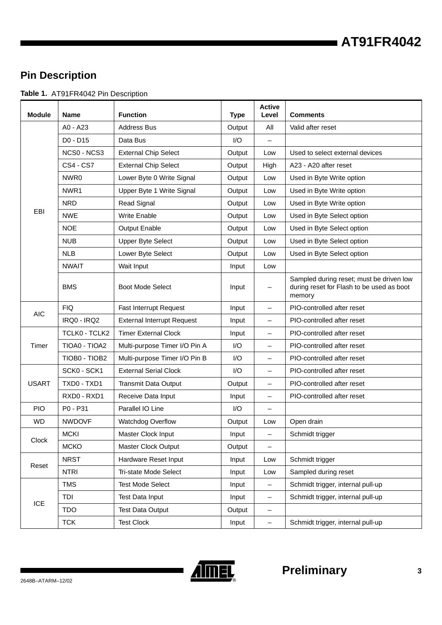# **AT91FR4042**

# **Pin Description**

**Table 1.** AT91FR4042 Pin Description

| <b>Module</b> | <b>Name</b>      | <b>Function</b>                   | <b>Type</b> | <b>Active</b><br>Level   | <b>Comments</b>                                                                                 |
|---------------|------------------|-----------------------------------|-------------|--------------------------|-------------------------------------------------------------------------------------------------|
|               | $AO - A23$       | <b>Address Bus</b>                | Output      | All                      | Valid after reset                                                                               |
|               | D0 - D15         | Data Bus                          | I/O         |                          |                                                                                                 |
|               | NCS0 - NCS3      | <b>External Chip Select</b>       | Output      | Low                      | Used to select external devices                                                                 |
|               | <b>CS4 - CS7</b> | <b>External Chip Select</b>       | Output      | High                     | A23 - A20 after reset                                                                           |
|               | NWR0             | Lower Byte 0 Write Signal         | Output      | Low                      | Used in Byte Write option                                                                       |
|               | NWR1             | Upper Byte 1 Write Signal         | Output      | Low                      | Used in Byte Write option                                                                       |
|               | <b>NRD</b>       | <b>Read Signal</b>                | Output      | Low                      | Used in Byte Write option                                                                       |
| EBI           | <b>NWE</b>       | <b>Write Enable</b>               | Output      | Low                      | Used in Byte Select option                                                                      |
|               | <b>NOE</b>       | Output Enable                     | Output      | Low                      | Used in Byte Select option                                                                      |
|               | <b>NUB</b>       | <b>Upper Byte Select</b>          | Output      | Low                      | Used in Byte Select option                                                                      |
|               | <b>NLB</b>       | Lower Byte Select                 | Output      | Low                      | Used in Byte Select option                                                                      |
|               | <b>NWAIT</b>     | Wait Input                        | Input       | Low                      |                                                                                                 |
|               | <b>BMS</b>       | <b>Boot Mode Select</b>           | Input       |                          | Sampled during reset; must be driven low<br>during reset for Flash to be used as boot<br>memory |
| <b>AIC</b>    | <b>FIQ</b>       | Fast Interrupt Request            | Input       | $\qquad \qquad -$        | PIO-controlled after reset                                                                      |
|               | IRQ0 - IRQ2      | <b>External Interrupt Request</b> | Input       | $\qquad \qquad -$        | PIO-controlled after reset                                                                      |
|               | TCLK0 - TCLK2    | <b>Timer External Clock</b>       | Input       | $\overline{\phantom{0}}$ | PIO-controlled after reset                                                                      |
| Timer         | TIOA0 - TIOA2    | Multi-purpose Timer I/O Pin A     | 1/O         |                          | PIO-controlled after reset                                                                      |
|               | TIOB0 - TIOB2    | Multi-purpose Timer I/O Pin B     | 1/O         |                          | PIO-controlled after reset                                                                      |
|               | SCK0 - SCK1      | <b>External Serial Clock</b>      | I/O         | $\overline{\phantom{m}}$ | PIO-controlled after reset                                                                      |
| <b>USART</b>  | TXD0 - TXD1      | Transmit Data Output              | Output      | $\qquad \qquad -$        | PIO-controlled after reset                                                                      |
|               | RXD0 - RXD1      | Receive Data Input                | Input       | $\qquad \qquad -$        | PIO-controlled after reset                                                                      |
| <b>PIO</b>    | P0 - P31         | Parallel IO Line                  | I/O         |                          |                                                                                                 |
| <b>WD</b>     | <b>NWDOVF</b>    | Watchdog Overflow                 | Output      | Low                      | Open drain                                                                                      |
| Clock         | <b>MCKI</b>      | Master Clock Input                | Input       |                          | Schmidt trigger                                                                                 |
|               | <b>MCKO</b>      | <b>Master Clock Output</b>        | Output      | $\qquad \qquad -$        |                                                                                                 |
| Reset         | <b>NRST</b>      | Hardware Reset Input              | Input       | Low                      | Schmidt trigger                                                                                 |
|               | <b>NTRI</b>      | Tri-state Mode Select             | Input       | Low                      | Sampled during reset                                                                            |
|               | <b>TMS</b>       | <b>Test Mode Select</b>           | Input       | $\overline{\phantom{m}}$ | Schmidt trigger, internal pull-up                                                               |
| <b>ICE</b>    | TDI              | Test Data Input                   | Input       | $\overline{\phantom{m}}$ | Schmidt trigger, internal pull-up                                                               |
|               | <b>TDO</b>       | <b>Test Data Output</b>           | Output      | $\overline{\phantom{0}}$ |                                                                                                 |
|               | <b>TCK</b>       | <b>Test Clock</b>                 | Input       | $\overline{\phantom{a}}$ | Schmidt trigger, internal pull-up                                                               |

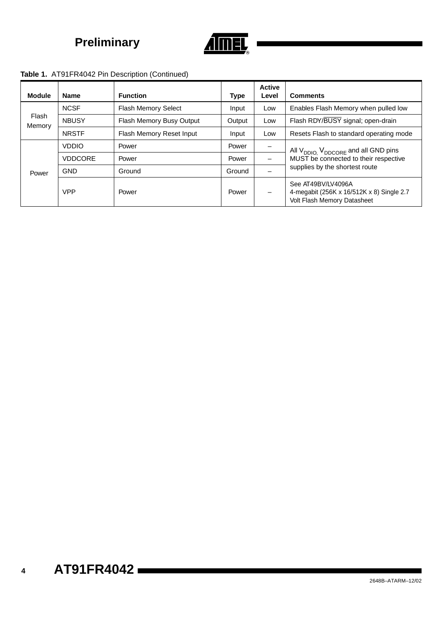

### **Table 1.** AT91FR4042 Pin Description (Continued)

| <b>Module</b>   | <b>Name</b>    | <b>Function</b>          | <b>Type</b> | <b>Active</b><br>Level | <b>Comments</b>                                                                                       |  |
|-----------------|----------------|--------------------------|-------------|------------------------|-------------------------------------------------------------------------------------------------------|--|
| Flash<br>Memory | <b>NCSF</b>    | Flash Memory Select      | Input       | Low                    | Enables Flash Memory when pulled low                                                                  |  |
|                 | <b>NBUSY</b>   | Flash Memory Busy Output | Output      | Low                    | Flash RDY/BUSY signal; open-drain                                                                     |  |
|                 | <b>NRSTF</b>   | Flash Memory Reset Input | Input       | Low                    | Resets Flash to standard operating mode                                                               |  |
|                 | <b>VDDIO</b>   | Power                    | Power       | $\qquad \qquad$        | All V <sub>DDIO,</sub> V <sub>DDCORE</sub> and all GND pins                                           |  |
|                 | <b>VDDCORE</b> | Power                    | Power       |                        | MUST be connected to their respective                                                                 |  |
| Power           | <b>GND</b>     | Ground                   | Ground      |                        | supplies by the shortest route                                                                        |  |
|                 | <b>VPP</b>     | Power                    | Power       |                        | See AT49BV/LV4096A<br>4-megabit (256K x 16/512K x 8) Single 2.7<br><b>Volt Flash Memory Datasheet</b> |  |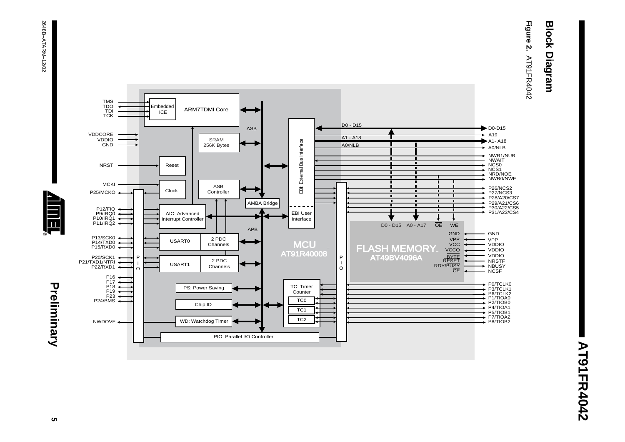# **Block Diagram Block Diagram**

**Figure 2. AT91FR4042** AT91FR4042





Preliminary **5 Preliminary**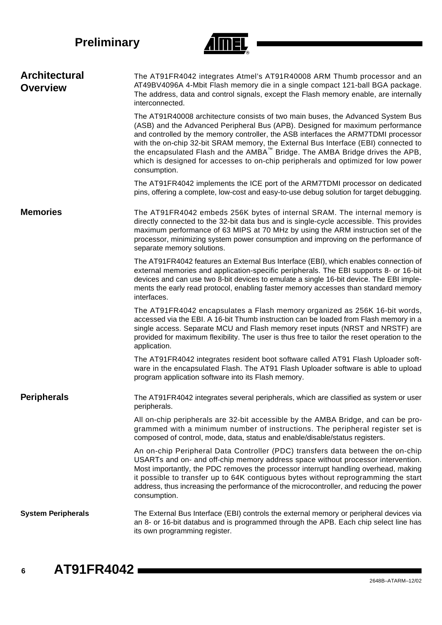

| <b>Architectural</b><br><b>Overview</b> | The AT91FR4042 integrates Atmel's AT91R40008 ARM Thumb processor and an<br>AT49BV4096A 4-Mbit Flash memory die in a single compact 121-ball BGA package.<br>The address, data and control signals, except the Flash memory enable, are internally<br>interconnected.                                                                                                                                                                                                                                                              |
|-----------------------------------------|-----------------------------------------------------------------------------------------------------------------------------------------------------------------------------------------------------------------------------------------------------------------------------------------------------------------------------------------------------------------------------------------------------------------------------------------------------------------------------------------------------------------------------------|
|                                         | The AT91R40008 architecture consists of two main buses, the Advanced System Bus<br>(ASB) and the Advanced Peripheral Bus (APB). Designed for maximum performance<br>and controlled by the memory controller, the ASB interfaces the ARM7TDMI processor<br>with the on-chip 32-bit SRAM memory, the External Bus Interface (EBI) connected to<br>the encapsulated Flash and the AMBA™ Bridge. The AMBA Bridge drives the APB,<br>which is designed for accesses to on-chip peripherals and optimized for low power<br>consumption. |
|                                         | The AT91FR4042 implements the ICE port of the ARM7TDMI processor on dedicated<br>pins, offering a complete, low-cost and easy-to-use debug solution for target debugging.                                                                                                                                                                                                                                                                                                                                                         |
| <b>Memories</b>                         | The AT91FR4042 embeds 256K bytes of internal SRAM. The internal memory is<br>directly connected to the 32-bit data bus and is single-cycle accessible. This provides<br>maximum performance of 63 MIPS at 70 MHz by using the ARM instruction set of the<br>processor, minimizing system power consumption and improving on the performance of<br>separate memory solutions.                                                                                                                                                      |
|                                         | The AT91FR4042 features an External Bus Interface (EBI), which enables connection of<br>external memories and application-specific peripherals. The EBI supports 8- or 16-bit<br>devices and can use two 8-bit devices to emulate a single 16-bit device. The EBI imple-<br>ments the early read protocol, enabling faster memory accesses than standard memory<br>interfaces.                                                                                                                                                    |
|                                         | The AT91FR4042 encapsulates a Flash memory organized as 256K 16-bit words,<br>accessed via the EBI. A 16-bit Thumb instruction can be loaded from Flash memory in a<br>single access. Separate MCU and Flash memory reset inputs (NRST and NRSTF) are<br>provided for maximum flexibility. The user is thus free to tailor the reset operation to the<br>application.                                                                                                                                                             |
|                                         | The AT91FR4042 integrates resident boot software called AT91 Flash Uploader soft-<br>ware in the encapsulated Flash. The AT91 Flash Uploader software is able to upload<br>program application software into its Flash memory.                                                                                                                                                                                                                                                                                                    |
| <b>Peripherals</b>                      | The AT91FR4042 integrates several peripherals, which are classified as system or user<br>peripherals.                                                                                                                                                                                                                                                                                                                                                                                                                             |
|                                         | All on-chip peripherals are 32-bit accessible by the AMBA Bridge, and can be pro-<br>grammed with a minimum number of instructions. The peripheral register set is<br>composed of control, mode, data, status and enable/disable/status registers.                                                                                                                                                                                                                                                                                |
|                                         | An on-chip Peripheral Data Controller (PDC) transfers data between the on-chip<br>USARTs and on- and off-chip memory address space without processor intervention.<br>Most importantly, the PDC removes the processor interrupt handling overhead, making<br>it possible to transfer up to 64K contiguous bytes without reprogramming the start<br>address, thus increasing the performance of the microcontroller, and reducing the power<br>consumption.                                                                        |
| <b>System Peripherals</b>               | The External Bus Interface (EBI) controls the external memory or peripheral devices via<br>an 8- or 16-bit databus and is programmed through the APB. Each chip select line has<br>its own programming register.                                                                                                                                                                                                                                                                                                                  |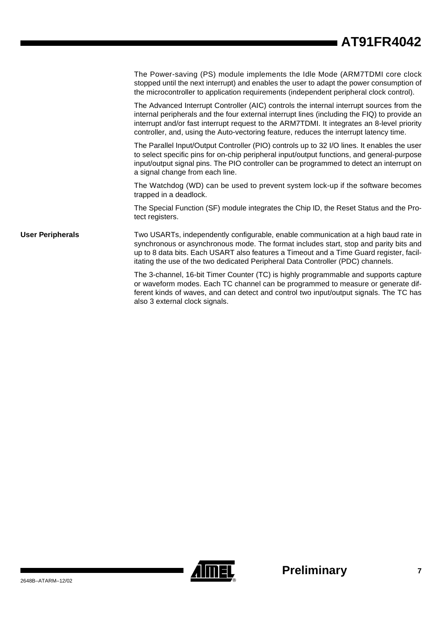# **AT91FR4042**

|                         | The Power-saving (PS) module implements the Idle Mode (ARM7TDMI core clock<br>stopped until the next interrupt) and enables the user to adapt the power consumption of<br>the microcontroller to application requirements (independent peripheral clock control).                                                                                                                |
|-------------------------|----------------------------------------------------------------------------------------------------------------------------------------------------------------------------------------------------------------------------------------------------------------------------------------------------------------------------------------------------------------------------------|
|                         | The Advanced Interrupt Controller (AIC) controls the internal interrupt sources from the<br>internal peripherals and the four external interrupt lines (including the FIQ) to provide an<br>interrupt and/or fast interrupt request to the ARM7TDMI. It integrates an 8-level priority<br>controller, and, using the Auto-vectoring feature, reduces the interrupt latency time. |
|                         | The Parallel Input/Output Controller (PIO) controls up to 32 I/O lines. It enables the user<br>to select specific pins for on-chip peripheral input/output functions, and general-purpose<br>input/output signal pins. The PIO controller can be programmed to detect an interrupt on<br>a signal change from each line.                                                         |
|                         | The Watchdog (WD) can be used to prevent system lock-up if the software becomes<br>trapped in a deadlock.                                                                                                                                                                                                                                                                        |
|                         | The Special Function (SF) module integrates the Chip ID, the Reset Status and the Pro-<br>tect registers.                                                                                                                                                                                                                                                                        |
| <b>User Peripherals</b> | Two USARTs, independently configurable, enable communication at a high baud rate in<br>synchronous or asynchronous mode. The format includes start, stop and parity bits and<br>up to 8 data bits. Each USART also features a Timeout and a Time Guard register, facil-<br>itating the use of the two dedicated Peripheral Data Controller (PDC) channels.                       |
|                         | The 3-channel, 16-bit Timer Counter (TC) is highly programmable and supports capture<br>or waveform modes. Each TC channel can be programmed to measure or generate dif-<br>ferent kinds of waves, and can detect and control two input/output signals. The TC has<br>also 3 external clock signals.                                                                             |

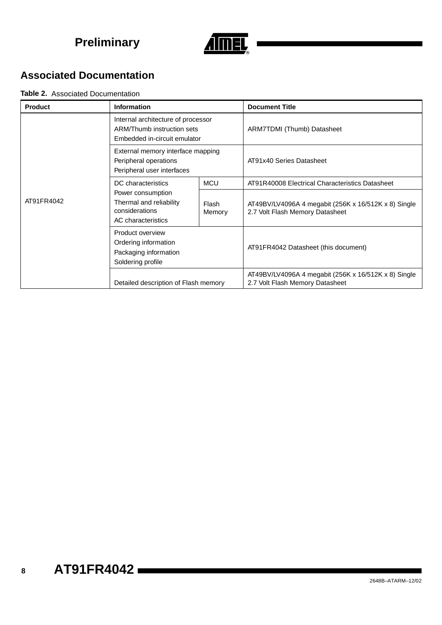

# **Associated Documentation**

#### **Table 2.** Associated Documentation

| <b>Product</b> | Information                                                                                      |                 | <b>Document Title</b>                                                                   |  |
|----------------|--------------------------------------------------------------------------------------------------|-----------------|-----------------------------------------------------------------------------------------|--|
|                | Internal architecture of processor<br>ARM/Thumb instruction sets<br>Embedded in-circuit emulator |                 | ARM7TDMI (Thumb) Datasheet                                                              |  |
|                | External memory interface mapping<br>Peripheral operations<br>Peripheral user interfaces         |                 | AT91x40 Series Datasheet                                                                |  |
|                | DC characteristics                                                                               | <b>MCU</b>      | AT91R40008 Electrical Characteristics Datasheet                                         |  |
| AT91FR4042     | Power consumption<br>Thermal and reliability<br>considerations<br>AC characteristics             | Flash<br>Memory | AT49BV/LV4096A 4 megabit (256K x 16/512K x 8) Single<br>2.7 Volt Flash Memory Datasheet |  |
|                | Product overview<br>Ordering information<br>Packaging information<br>Soldering profile           |                 | AT91FR4042 Datasheet (this document)                                                    |  |
|                | Detailed description of Flash memory                                                             |                 | AT49BV/LV4096A 4 megabit (256K x 16/512K x 8) Single<br>2.7 Volt Flash Memory Datasheet |  |

**8**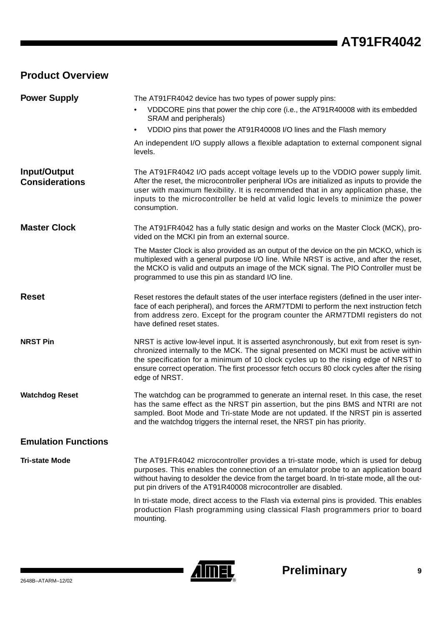# **Product Overview**

| <b>Power Supply</b>                   | The AT91FR4042 device has two types of power supply pins:                                                                                                                                                                                                                                                                                                                                |
|---------------------------------------|------------------------------------------------------------------------------------------------------------------------------------------------------------------------------------------------------------------------------------------------------------------------------------------------------------------------------------------------------------------------------------------|
|                                       | VDDCORE pins that power the chip core (i.e., the AT91R40008 with its embedded<br>SRAM and peripherals)                                                                                                                                                                                                                                                                                   |
|                                       | VDDIO pins that power the AT91R40008 I/O lines and the Flash memory<br>$\bullet$                                                                                                                                                                                                                                                                                                         |
|                                       | An independent I/O supply allows a flexible adaptation to external component signal<br>levels.                                                                                                                                                                                                                                                                                           |
| Input/Output<br><b>Considerations</b> | The AT91FR4042 I/O pads accept voltage levels up to the VDDIO power supply limit.<br>After the reset, the microcontroller peripheral I/Os are initialized as inputs to provide the<br>user with maximum flexibility. It is recommended that in any application phase, the<br>inputs to the microcontroller be held at valid logic levels to minimize the power<br>consumption.           |
| <b>Master Clock</b>                   | The AT91FR4042 has a fully static design and works on the Master Clock (MCK), pro-<br>vided on the MCKI pin from an external source.                                                                                                                                                                                                                                                     |
|                                       | The Master Clock is also provided as an output of the device on the pin MCKO, which is<br>multiplexed with a general purpose I/O line. While NRST is active, and after the reset,<br>the MCKO is valid and outputs an image of the MCK signal. The PIO Controller must be<br>programmed to use this pin as standard I/O line.                                                            |
| <b>Reset</b>                          | Reset restores the default states of the user interface registers (defined in the user inter-<br>face of each peripheral), and forces the ARM7TDMI to perform the next instruction fetch<br>from address zero. Except for the program counter the ARM7TDMI registers do not<br>have defined reset states.                                                                                |
| <b>NRST Pin</b>                       | NRST is active low-level input. It is asserted asynchronously, but exit from reset is syn-<br>chronized internally to the MCK. The signal presented on MCKI must be active within<br>the specification for a minimum of 10 clock cycles up to the rising edge of NRST to<br>ensure correct operation. The first processor fetch occurs 80 clock cycles after the rising<br>edge of NRST. |
| <b>Watchdog Reset</b>                 | The watchdog can be programmed to generate an internal reset. In this case, the reset<br>has the same effect as the NRST pin assertion, but the pins BMS and NTRI are not<br>sampled. Boot Mode and Tri-state Mode are not updated. If the NRST pin is asserted<br>and the watchdog triggers the internal reset, the NRST pin has priority.                                              |
| <b>Emulation Functions</b>            |                                                                                                                                                                                                                                                                                                                                                                                          |
| <b>Tri-state Mode</b>                 | The AT91FR4042 microcontroller provides a tri-state mode, which is used for debug<br>purposes. This enables the connection of an emulator probe to an application board<br>without having to desolder the device from the target board. In tri-state mode, all the out-<br>put pin drivers of the AT91R40008 microcontroller are disabled.                                               |
|                                       | In tri-state mode, direct access to the Flash via external pins is provided. This enables<br>production Flash programming using classical Flash programmers prior to board<br>mounting.                                                                                                                                                                                                  |

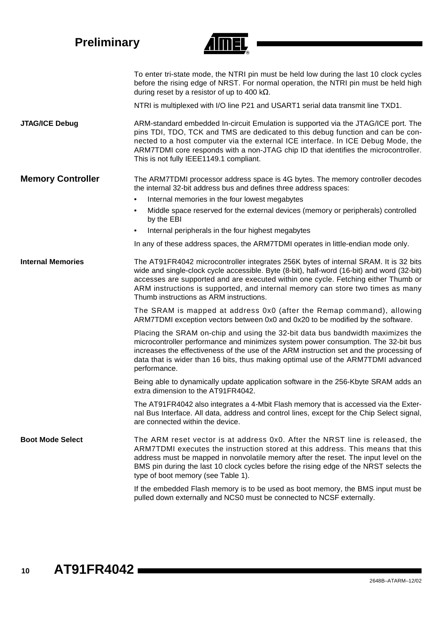| <b>Preliminary</b>       |                                                                                                                                                                                                                                                                                                                                                                                                                                                                                             |
|--------------------------|---------------------------------------------------------------------------------------------------------------------------------------------------------------------------------------------------------------------------------------------------------------------------------------------------------------------------------------------------------------------------------------------------------------------------------------------------------------------------------------------|
|                          | To enter tri-state mode, the NTRI pin must be held low during the last 10 clock cycles<br>before the rising edge of NRST. For normal operation, the NTRI pin must be held high<br>during reset by a resistor of up to 400 k $\Omega$ .                                                                                                                                                                                                                                                      |
|                          | NTRI is multiplexed with I/O line P21 and USART1 serial data transmit line TXD1.                                                                                                                                                                                                                                                                                                                                                                                                            |
| <b>JTAG/ICE Debug</b>    | ARM-standard embedded In-circuit Emulation is supported via the JTAG/ICE port. The<br>pins TDI, TDO, TCK and TMS are dedicated to this debug function and can be con-<br>nected to a host computer via the external ICE interface. In ICE Debug Mode, the<br>ARM7TDMI core responds with a non-JTAG chip ID that identifies the microcontroller.<br>This is not fully IEEE1149.1 compliant.                                                                                                 |
| <b>Memory Controller</b> | The ARM7TDMI processor address space is 4G bytes. The memory controller decodes<br>the internal 32-bit address bus and defines three address spaces:<br>Internal memories in the four lowest megabytes<br>$\bullet$<br>Middle space reserved for the external devices (memory or peripherals) controlled<br>$\bullet$<br>by the EBI<br>Internal peripherals in the four highest megabytes<br>$\bullet$<br>In any of these address spaces, the ARM7TDMI operates in little-endian mode only. |
| <b>Internal Memories</b> | The AT91FR4042 microcontroller integrates 256K bytes of internal SRAM. It is 32 bits<br>wide and single-clock cycle accessible. Byte (8-bit), half-word (16-bit) and word (32-bit)<br>accesses are supported and are executed within one cycle. Fetching either Thumb or<br>ARM instructions is supported, and internal memory can store two times as many<br>Thumb instructions as ARM instructions.                                                                                       |
|                          | The SRAM is mapped at address 0x0 (after the Remap command), allowing<br>ARM7TDMI exception vectors between 0x0 and 0x20 to be modified by the software.                                                                                                                                                                                                                                                                                                                                    |
|                          | Placing the SRAM on-chip and using the 32-bit data bus bandwidth maximizes the<br>microcontroller performance and minimizes system power consumption. The 32-bit bus<br>increases the effectiveness of the use of the ARM instruction set and the processing of<br>data that is wider than 16 bits, thus making optimal use of the ARM7TDMI advanced<br>performance.                                                                                                                        |
|                          | Being able to dynamically update application software in the 256-Kbyte SRAM adds an<br>extra dimension to the AT91FR4042.                                                                                                                                                                                                                                                                                                                                                                   |
|                          | The AT91FR4042 also integrates a 4-Mbit Flash memory that is accessed via the Exter-<br>nal Bus Interface. All data, address and control lines, except for the Chip Select signal,<br>are connected within the device.                                                                                                                                                                                                                                                                      |
| <b>Boot Mode Select</b>  | The ARM reset vector is at address 0x0. After the NRST line is released, the<br>ARM7TDMI executes the instruction stored at this address. This means that this<br>address must be mapped in nonvolatile memory after the reset. The input level on the<br>BMS pin during the last 10 clock cycles before the rising edge of the NRST selects the<br>type of boot memory (see Table 1).                                                                                                      |
|                          | If the embedded Flash memory is to be used as boot memory, the BMS input must be<br>pulled down externally and NCS0 must be connected to NCSF externally.                                                                                                                                                                                                                                                                                                                                   |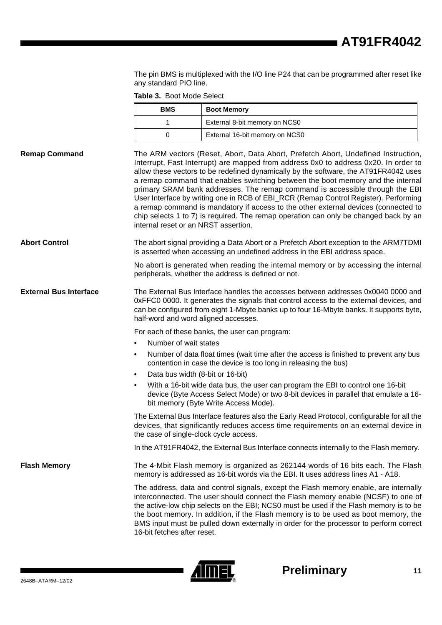The pin BMS is multiplexed with the I/O line P24 that can be programmed after reset like any standard PIO line.

**Table 3.** Boot Mode Select

|                               | <b>BMS</b>                                                                                                                                                                                                                                                                                                                                                                                                                                                                                                                                                                                                                                                                                                                                        | <b>Boot Memory</b>                                                                                                                                                                                                                                                                                                                                                                                                                                   |  |
|-------------------------------|---------------------------------------------------------------------------------------------------------------------------------------------------------------------------------------------------------------------------------------------------------------------------------------------------------------------------------------------------------------------------------------------------------------------------------------------------------------------------------------------------------------------------------------------------------------------------------------------------------------------------------------------------------------------------------------------------------------------------------------------------|------------------------------------------------------------------------------------------------------------------------------------------------------------------------------------------------------------------------------------------------------------------------------------------------------------------------------------------------------------------------------------------------------------------------------------------------------|--|
|                               | 1                                                                                                                                                                                                                                                                                                                                                                                                                                                                                                                                                                                                                                                                                                                                                 | External 8-bit memory on NCS0                                                                                                                                                                                                                                                                                                                                                                                                                        |  |
|                               | 0                                                                                                                                                                                                                                                                                                                                                                                                                                                                                                                                                                                                                                                                                                                                                 | External 16-bit memory on NCS0                                                                                                                                                                                                                                                                                                                                                                                                                       |  |
| <b>Remap Command</b>          | The ARM vectors (Reset, Abort, Data Abort, Prefetch Abort, Undefined Instruction,<br>Interrupt, Fast Interrupt) are mapped from address 0x0 to address 0x20. In order to<br>allow these vectors to be redefined dynamically by the software, the AT91FR4042 uses<br>a remap command that enables switching between the boot memory and the internal<br>primary SRAM bank addresses. The remap command is accessible through the EBI<br>User Interface by writing one in RCB of EBI_RCR (Remap Control Register). Performing<br>a remap command is mandatory if access to the other external devices (connected to<br>chip selects 1 to 7) is required. The remap operation can only be changed back by an<br>internal reset or an NRST assertion. |                                                                                                                                                                                                                                                                                                                                                                                                                                                      |  |
| <b>Abort Control</b>          |                                                                                                                                                                                                                                                                                                                                                                                                                                                                                                                                                                                                                                                                                                                                                   | The abort signal providing a Data Abort or a Prefetch Abort exception to the ARM7TDMI<br>is asserted when accessing an undefined address in the EBI address space.                                                                                                                                                                                                                                                                                   |  |
|                               |                                                                                                                                                                                                                                                                                                                                                                                                                                                                                                                                                                                                                                                                                                                                                   | No abort is generated when reading the internal memory or by accessing the internal<br>peripherals, whether the address is defined or not.                                                                                                                                                                                                                                                                                                           |  |
| <b>External Bus Interface</b> | half-word and word aligned accesses.                                                                                                                                                                                                                                                                                                                                                                                                                                                                                                                                                                                                                                                                                                              | The External Bus Interface handles the accesses between addresses 0x0040 0000 and<br>0xFFC0 0000. It generates the signals that control access to the external devices, and<br>can be configured from eight 1-Mbyte banks up to four 16-Mbyte banks. It supports byte,                                                                                                                                                                               |  |
|                               |                                                                                                                                                                                                                                                                                                                                                                                                                                                                                                                                                                                                                                                                                                                                                   | For each of these banks, the user can program:                                                                                                                                                                                                                                                                                                                                                                                                       |  |
|                               | Number of wait states                                                                                                                                                                                                                                                                                                                                                                                                                                                                                                                                                                                                                                                                                                                             |                                                                                                                                                                                                                                                                                                                                                                                                                                                      |  |
|                               | $\bullet$                                                                                                                                                                                                                                                                                                                                                                                                                                                                                                                                                                                                                                                                                                                                         | Number of data float times (wait time after the access is finished to prevent any bus<br>contention in case the device is too long in releasing the bus)                                                                                                                                                                                                                                                                                             |  |
|                               | Data bus width (8-bit or 16-bit)                                                                                                                                                                                                                                                                                                                                                                                                                                                                                                                                                                                                                                                                                                                  |                                                                                                                                                                                                                                                                                                                                                                                                                                                      |  |
|                               | $\bullet$                                                                                                                                                                                                                                                                                                                                                                                                                                                                                                                                                                                                                                                                                                                                         | With a 16-bit wide data bus, the user can program the EBI to control one 16-bit<br>device (Byte Access Select Mode) or two 8-bit devices in parallel that emulate a 16-<br>bit memory (Byte Write Access Mode).                                                                                                                                                                                                                                      |  |
|                               | the case of single-clock cycle access.                                                                                                                                                                                                                                                                                                                                                                                                                                                                                                                                                                                                                                                                                                            | The External Bus Interface features also the Early Read Protocol, configurable for all the<br>devices, that significantly reduces access time requirements on an external device in                                                                                                                                                                                                                                                                  |  |
|                               |                                                                                                                                                                                                                                                                                                                                                                                                                                                                                                                                                                                                                                                                                                                                                   | In the AT91FR4042, the External Bus Interface connects internally to the Flash memory.                                                                                                                                                                                                                                                                                                                                                               |  |
| <b>Flash Memory</b>           |                                                                                                                                                                                                                                                                                                                                                                                                                                                                                                                                                                                                                                                                                                                                                   | The 4-Mbit Flash memory is organized as 262144 words of 16 bits each. The Flash<br>memory is addressed as 16-bit words via the EBI. It uses address lines A1 - A18.                                                                                                                                                                                                                                                                                  |  |
|                               | 16-bit fetches after reset.                                                                                                                                                                                                                                                                                                                                                                                                                                                                                                                                                                                                                                                                                                                       | The address, data and control signals, except the Flash memory enable, are internally<br>interconnected. The user should connect the Flash memory enable (NCSF) to one of<br>the active-low chip selects on the EBI; NCS0 must be used if the Flash memory is to be<br>the boot memory. In addition, if the Flash memory is to be used as boot memory, the<br>BMS input must be pulled down externally in order for the processor to perform correct |  |

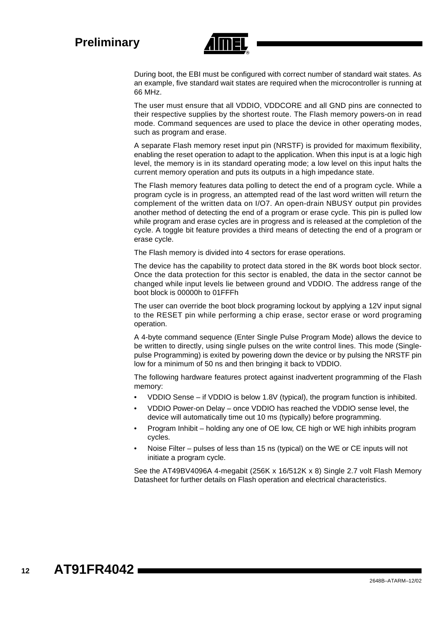

During boot, the EBI must be configured with correct number of standard wait states. As an example, five standard wait states are required when the microcontroller is running at 66 MHz.

The user must ensure that all VDDIO, VDDCORE and all GND pins are connected to their respective supplies by the shortest route. The Flash memory powers-on in read mode. Command sequences are used to place the device in other operating modes, such as program and erase.

A separate Flash memory reset input pin (NRSTF) is provided for maximum flexibility, enabling the reset operation to adapt to the application. When this input is at a logic high level, the memory is in its standard operating mode; a low level on this input halts the current memory operation and puts its outputs in a high impedance state.

The Flash memory features data polling to detect the end of a program cycle. While a program cycle is in progress, an attempted read of the last word written will return the complement of the written data on I/O7. An open-drain NBUSY output pin provides another method of detecting the end of a program or erase cycle. This pin is pulled low while program and erase cycles are in progress and is released at the completion of the cycle. A toggle bit feature provides a third means of detecting the end of a program or erase cycle.

The Flash memory is divided into 4 sectors for erase operations.

The device has the capability to protect data stored in the 8K words boot block sector. Once the data protection for this sector is enabled, the data in the sector cannot be changed while input levels lie between ground and VDDIO. The address range of the boot block is 00000h to 01FFFh

The user can override the boot block programing lockout by applying a 12V input signal to the RESET pin while performing a chip erase, sector erase or word programing operation.

A 4-byte command sequence (Enter Single Pulse Program Mode) allows the device to be written to directly, using single pulses on the write control lines. This mode (Singlepulse Programming) is exited by powering down the device or by pulsing the NRSTF pin low for a minimum of 50 ns and then bringing it back to VDDIO.

The following hardware features protect against inadvertent programming of the Flash memory:

- VDDIO Sense if VDDIO is below 1.8V (typical), the program function is inhibited.
- VDDIO Power-on Delay once VDDIO has reached the VDDIO sense level, the device will automatically time out 10 ms (typically) before programming.
- Program Inhibit holding any one of OE low, CE high or WE high inhibits program cycles.
- Noise Filter pulses of less than 15 ns (typical) on the WE or CE inputs will not initiate a program cycle.

See the AT49BV4096A 4-megabit (256K x 16/512K x 8) Single 2.7 volt Flash Memory Datasheet for further details on Flash operation and electrical characteristics.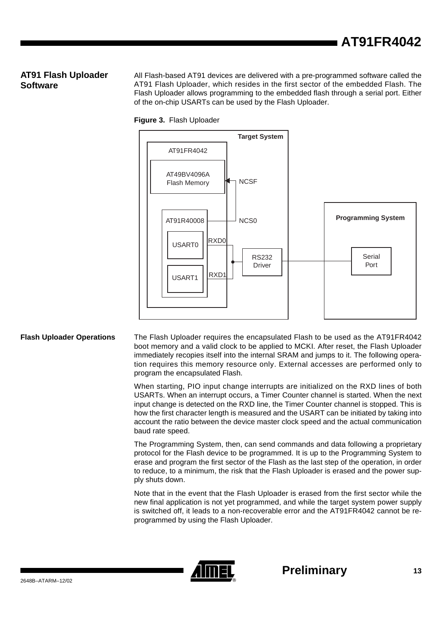### **AT91 Flash Uploader Software**

All Flash-based AT91 devices are delivered with a pre-programmed software called the AT91 Flash Uploader, which resides in the first sector of the embedded Flash. The Flash Uploader allows programming to the embedded flash through a serial port. Either of the on-chip USARTs can be used by the Flash Uploader.



#### **Figure 3.** Flash Uploader

**Flash Uploader Operations** The Flash Uploader requires the encapsulated Flash to be used as the AT91FR4042 boot memory and a valid clock to be applied to MCKI. After reset, the Flash Uploader immediately recopies itself into the internal SRAM and jumps to it. The following operation requires this memory resource only. External accesses are performed only to program the encapsulated Flash.

> When starting, PIO input change interrupts are initialized on the RXD lines of both USARTs. When an interrupt occurs, a Timer Counter channel is started. When the next input change is detected on the RXD line, the Timer Counter channel is stopped. This is how the first character length is measured and the USART can be initiated by taking into account the ratio between the device master clock speed and the actual communication baud rate speed.

> The Programming System, then, can send commands and data following a proprietary protocol for the Flash device to be programmed. It is up to the Programming System to erase and program the first sector of the Flash as the last step of the operation, in order to reduce, to a minimum, the risk that the Flash Uploader is erased and the power supply shuts down.

> Note that in the event that the Flash Uploader is erased from the first sector while the new final application is not yet programmed, and while the target system power supply is switched off, it leads to a non-recoverable error and the AT91FR4042 cannot be reprogrammed by using the Flash Uploader.

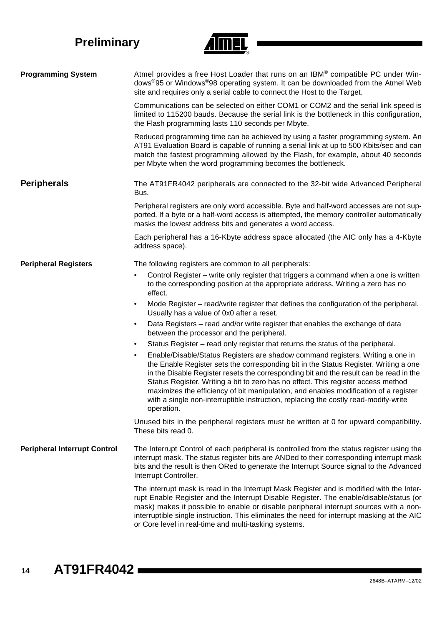

| <b>Programming System</b>           | Atmel provides a free Host Loader that runs on an IBM® compatible PC under Win-<br>dows <sup>®</sup> 95 or Windows <sup>®</sup> 98 operating system. It can be downloaded from the Atmel Web<br>site and requires only a serial cable to connect the Host to the Target.                                                                                                                                                                                                                                                                                        |
|-------------------------------------|-----------------------------------------------------------------------------------------------------------------------------------------------------------------------------------------------------------------------------------------------------------------------------------------------------------------------------------------------------------------------------------------------------------------------------------------------------------------------------------------------------------------------------------------------------------------|
|                                     | Communications can be selected on either COM1 or COM2 and the serial link speed is<br>limited to 115200 bauds. Because the serial link is the bottleneck in this configuration,<br>the Flash programming lasts 110 seconds per Mbyte.                                                                                                                                                                                                                                                                                                                           |
|                                     | Reduced programming time can be achieved by using a faster programming system. An<br>AT91 Evaluation Board is capable of running a serial link at up to 500 Kbits/sec and can<br>match the fastest programming allowed by the Flash, for example, about 40 seconds<br>per Mbyte when the word programming becomes the bottleneck.                                                                                                                                                                                                                               |
| <b>Peripherals</b>                  | The AT91FR4042 peripherals are connected to the 32-bit wide Advanced Peripheral<br>Bus.                                                                                                                                                                                                                                                                                                                                                                                                                                                                         |
|                                     | Peripheral registers are only word accessible. Byte and half-word accesses are not sup-<br>ported. If a byte or a half-word access is attempted, the memory controller automatically<br>masks the lowest address bits and generates a word access.                                                                                                                                                                                                                                                                                                              |
|                                     | Each peripheral has a 16-Kbyte address space allocated (the AIC only has a 4-Kbyte<br>address space).                                                                                                                                                                                                                                                                                                                                                                                                                                                           |
| <b>Peripheral Registers</b>         | The following registers are common to all peripherals:                                                                                                                                                                                                                                                                                                                                                                                                                                                                                                          |
|                                     | Control Register – write only register that triggers a command when a one is written<br>$\bullet$<br>to the corresponding position at the appropriate address. Writing a zero has no<br>effect.                                                                                                                                                                                                                                                                                                                                                                 |
|                                     | Mode Register - read/write register that defines the configuration of the peripheral.<br>$\bullet$<br>Usually has a value of 0x0 after a reset.                                                                                                                                                                                                                                                                                                                                                                                                                 |
|                                     | Data Registers - read and/or write register that enables the exchange of data<br>$\bullet$<br>between the processor and the peripheral.                                                                                                                                                                                                                                                                                                                                                                                                                         |
|                                     | Status Register – read only register that returns the status of the peripheral.<br>$\bullet$                                                                                                                                                                                                                                                                                                                                                                                                                                                                    |
|                                     | Enable/Disable/Status Registers are shadow command registers. Writing a one in<br>$\bullet$<br>the Enable Register sets the corresponding bit in the Status Register. Writing a one<br>in the Disable Register resets the corresponding bit and the result can be read in the<br>Status Register. Writing a bit to zero has no effect. This register access method<br>maximizes the efficiency of bit manipulation, and enables modification of a register<br>with a single non-interruptible instruction, replacing the costly read-modify-write<br>operation. |
|                                     | Unused bits in the peripheral registers must be written at 0 for upward compatibility.<br>These bits read 0.                                                                                                                                                                                                                                                                                                                                                                                                                                                    |
| <b>Peripheral Interrupt Control</b> | The Interrupt Control of each peripheral is controlled from the status register using the<br>interrupt mask. The status register bits are ANDed to their corresponding interrupt mask<br>bits and the result is then ORed to generate the Interrupt Source signal to the Advanced<br>Interrupt Controller.                                                                                                                                                                                                                                                      |
|                                     | The interrupt mask is read in the Interrupt Mask Register and is modified with the Inter-<br>rupt Enable Register and the Interrupt Disable Register. The enable/disable/status (or<br>mask) makes it possible to enable or disable peripheral interrupt sources with a non-<br>interruptible single instruction. This eliminates the need for interrupt masking at the AIC<br>or Core level in real-time and multi-tasking systems.                                                                                                                            |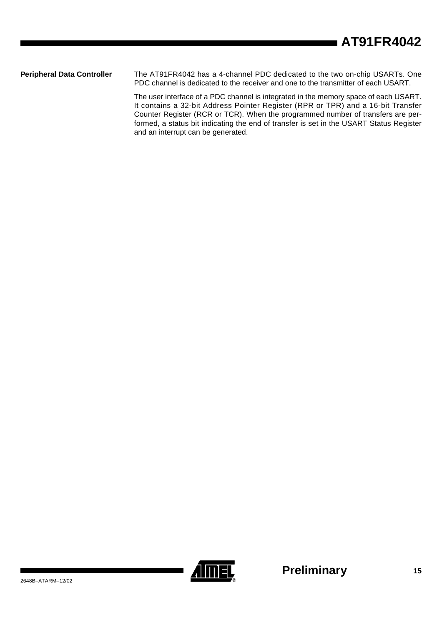**Peripheral Data Controller** The AT91FR4042 has a 4-channel PDC dedicated to the two on-chip USARTs. One PDC channel is dedicated to the receiver and one to the transmitter of each USART.

> The user interface of a PDC channel is integrated in the memory space of each USART. It contains a 32-bit Address Pointer Register (RPR or TPR) and a 16-bit Transfer Counter Register (RCR or TCR). When the programmed number of transfers are performed, a status bit indicating the end of transfer is set in the USART Status Register and an interrupt can be generated.

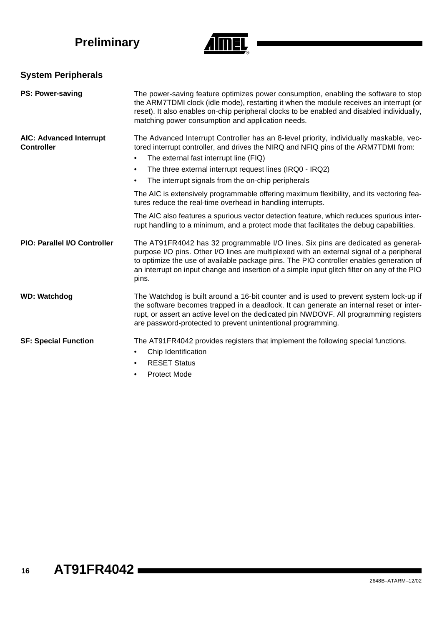

# **System Peripherals**

| <b>PS: Power-saving</b>                             | The power-saving feature optimizes power consumption, enabling the software to stop<br>the ARM7TDMI clock (idle mode), restarting it when the module receives an interrupt (or<br>reset). It also enables on-chip peripheral clocks to be enabled and disabled individually,<br>matching power consumption and application needs.                                                                                                                                                                                                   |
|-----------------------------------------------------|-------------------------------------------------------------------------------------------------------------------------------------------------------------------------------------------------------------------------------------------------------------------------------------------------------------------------------------------------------------------------------------------------------------------------------------------------------------------------------------------------------------------------------------|
| <b>AIC: Advanced Interrupt</b><br><b>Controller</b> | The Advanced Interrupt Controller has an 8-level priority, individually maskable, vec-<br>tored interrupt controller, and drives the NIRQ and NFIQ pins of the ARM7TDMI from:<br>The external fast interrupt line (FIQ)<br>٠<br>The three external interrupt request lines (IRQ0 - IRQ2)<br>$\bullet$<br>The interrupt signals from the on-chip peripherals<br>$\bullet$<br>The AIC is extensively programmable offering maximum flexibility, and its vectoring fea-<br>tures reduce the real-time overhead in handling interrupts. |
|                                                     | The AIC also features a spurious vector detection feature, which reduces spurious inter-<br>rupt handling to a minimum, and a protect mode that facilitates the debug capabilities.                                                                                                                                                                                                                                                                                                                                                 |
| <b>PIO: Parallel I/O Controller</b>                 | The AT91FR4042 has 32 programmable I/O lines. Six pins are dedicated as general-<br>purpose I/O pins. Other I/O lines are multiplexed with an external signal of a peripheral<br>to optimize the use of available package pins. The PIO controller enables generation of<br>an interrupt on input change and insertion of a simple input glitch filter on any of the PIO<br>pins.                                                                                                                                                   |
| <b>WD: Watchdog</b>                                 | The Watchdog is built around a 16-bit counter and is used to prevent system lock-up if<br>the software becomes trapped in a deadlock. It can generate an internal reset or inter-<br>rupt, or assert an active level on the dedicated pin NWDOVF. All programming registers<br>are password-protected to prevent unintentional programming.                                                                                                                                                                                         |
| <b>SF: Special Function</b>                         | The AT91FR4042 provides registers that implement the following special functions.<br>Chip Identification<br><b>RESET Status</b><br>$\bullet$<br><b>Protect Mode</b><br>٠                                                                                                                                                                                                                                                                                                                                                            |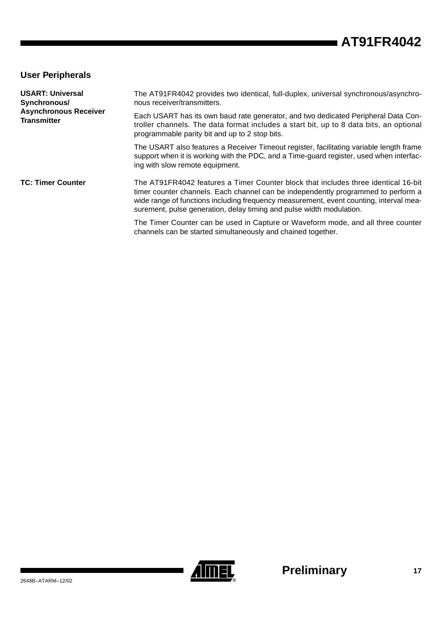### **User Peripherals**

| <b>USART: Universal</b><br>Synchronous/            | The AT91FR4042 provides two identical, full-duplex, universal synchronous/asynchro-<br>nous receiver/transmitters.                                                                                                                                                                                                                        |  |  |  |
|----------------------------------------------------|-------------------------------------------------------------------------------------------------------------------------------------------------------------------------------------------------------------------------------------------------------------------------------------------------------------------------------------------|--|--|--|
| <b>Asynchronous Receiver</b><br><b>Transmitter</b> | Each USART has its own baud rate generator, and two dedicated Peripheral Data Con-<br>troller channels. The data format includes a start bit, up to 8 data bits, an optional<br>programmable parity bit and up to 2 stop bits.                                                                                                            |  |  |  |
|                                                    | The USART also features a Receiver Timeout register, facilitating variable length frame<br>support when it is working with the PDC, and a Time-guard register, used when interfac-<br>ing with slow remote equipment.                                                                                                                     |  |  |  |
| <b>TC: Timer Counter</b>                           | The AT91FR4042 features a Timer Counter block that includes three identical 16-bit<br>timer counter channels. Each channel can be independently programmed to perform a<br>wide range of functions including frequency measurement, event counting, interval mea-<br>surement, pulse generation, delay timing and pulse width modulation. |  |  |  |
|                                                    | The Timer Counter can be used in Capture or Waveform mode, and all three counter<br>channels can be started simultaneously and chained together.                                                                                                                                                                                          |  |  |  |

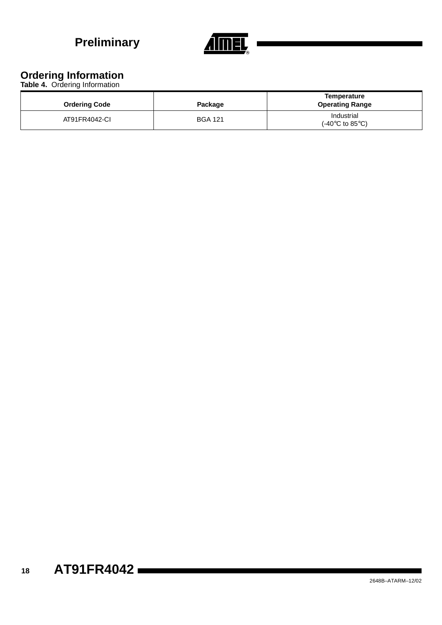

# **Ordering Information**

**Table 4.** Ordering Information

| <b>Ordering Code</b> | Package        | Temperature<br><b>Operating Range</b>                  |
|----------------------|----------------|--------------------------------------------------------|
| AT91FR4042-CI        | <b>BGA 121</b> | Industrial<br>$(-40^{\circ}C \text{ to } 85^{\circ}C)$ |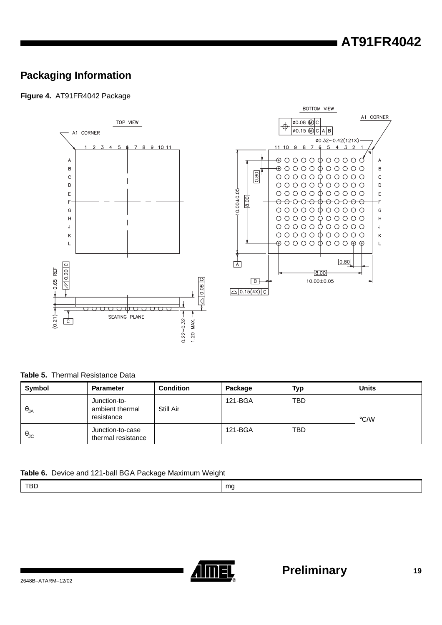# **AT91FR4042**

# **Packaging Information**

**Figure 4.** AT91FR4042 Package



**Table 5.** Thermal Resistance Data

| Symbol               | <b>Parameter</b>                              | <b>Condition</b> | Package | Typ        | <b>Units</b>  |
|----------------------|-----------------------------------------------|------------------|---------|------------|---------------|
| $\theta_{JA}$        | Junction-to-<br>ambient thermal<br>resistance | Still Air        | 121-BGA | <b>TBD</b> | $\degree$ C/W |
| $\theta_{\text{JC}}$ | Junction-to-case<br>thermal resistance        |                  | 121-BGA | <b>TBD</b> |               |

#### **Table 6.** Device and 121-ball BGA Package Maximum Weight

|--|

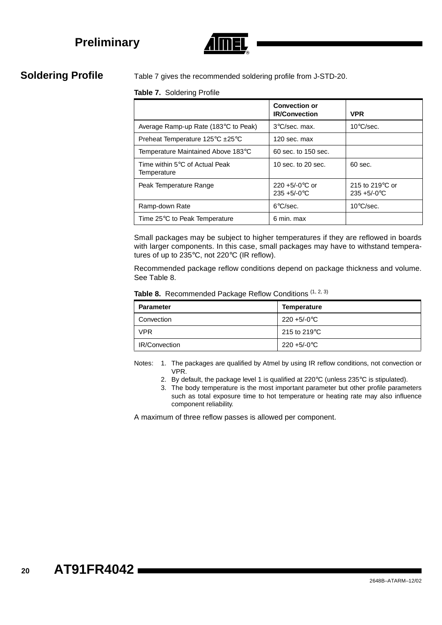

**Soldering Profile** Table 7 gives the recommended soldering profile from J-STD-20.

#### **Table 7.** Soldering Profile

|                                               | <b>Convection or</b><br><b>IR/Convection</b> | <b>VPR</b>                                   |
|-----------------------------------------------|----------------------------------------------|----------------------------------------------|
| Average Ramp-up Rate (183°C to Peak)          | $3^{\circ}$ C/sec. max.                      | $10^{\circ}$ C/sec.                          |
| Preheat Temperature 125°C ±25°C               | 120 sec. max                                 |                                              |
| Temperature Maintained Above 183°C            | 60 sec. to 150 sec.                          |                                              |
| Time within 5°C of Actual Peak<br>Temperature | 10 sec. to 20 sec.                           | $60$ sec.                                    |
| Peak Temperature Range                        | $220 + 5/-0$ °C or<br>$235 + 5/-0$ °C        | 215 to 219 $\degree$ C or<br>$235 + 5/-0$ °C |
| Ramp-down Rate                                | $6^{\circ}$ C/sec.                           | $10^{\circ}$ C/sec.                          |
| Time 25°C to Peak Temperature                 | 6 min. max                                   |                                              |

Small packages may be subject to higher temperatures if they are reflowed in boards with larger components. In this case, small packages may have to withstand temperatures of up to 235°C, not 220°C (IR reflow).

Recommended package reflow conditions depend on package thickness and volume. See Table 8.

| <b>Parameter</b>     | <b>Temperature</b>              |
|----------------------|---------------------------------|
| Convection           | $220 + 5/-0$ °C                 |
| <b>VPR</b>           | 215 to 219 $\mathrm{^{\circ}C}$ |
| <b>IR/Convection</b> | $220 + 5/-0$ °C                 |

Table 8. Recommended Package Reflow Conditions (1, 2, 3)

Notes: 1. The packages are qualified by Atmel by using IR reflow conditions, not convection or VPR.

- 2. By default, the package level 1 is qualified at 220°C (unless 235°C is stipulated).
- 3. The body temperature is the most important parameter but other profile parameters such as total exposure time to hot temperature or heating rate may also influence component reliability.

A maximum of three reflow passes is allowed per component.